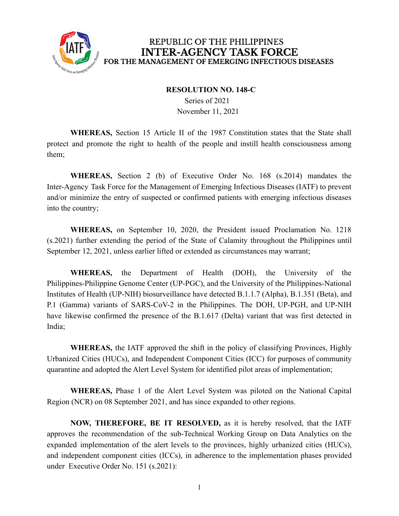

## REPUBLIC OF THE PHILIPPINES **INTER-AGENCY TASK FORCE** FOR THE MANAGEMENT OF EMERGING INFECTIOUS DISEASES

## **RESOLUTION NO. 148-C**

Series of 2021 November 11, 2021

**WHEREAS,** Section 15 Article II of the 1987 Constitution states that the State shall protect and promote the right to health of the people and instill health consciousness among them;

**WHEREAS,** Section 2 (b) of Executive Order No. 168 (s.2014) mandates the Inter-Agency Task Force for the Management of Emerging Infectious Diseases (IATF) to prevent and/or minimize the entry of suspected or confirmed patients with emerging infectious diseases into the country;

**WHEREAS,** on September 10, 2020, the President issued Proclamation No. 1218 (s.2021) further extending the period of the State of Calamity throughout the Philippines until September 12, 2021, unless earlier lifted or extended as circumstances may warrant;

**WHEREAS,** the Department of Health (DOH), the University of the Philippines-Philippine Genome Center (UP-PGC), and the University of the Philippines-National Institutes of Health (UP-NIH) biosurveillance have detected B.1.1.7 (Alpha), B.1.351 (Beta), and P.1 (Gamma) variants of SARS-CoV-2 in the Philippines. The DOH, UP-PGH, and UP-NIH have likewise confirmed the presence of the B.1.617 (Delta) variant that was first detected in India;

**WHEREAS,** the IATF approved the shift in the policy of classifying Provinces, Highly Urbanized Cities (HUCs), and Independent Component Cities (ICC) for purposes of community quarantine and adopted the Alert Level System for identified pilot areas of implementation;

**WHEREAS,** Phase 1 of the Alert Level System was piloted on the National Capital Region (NCR) on 08 September 2021, and has since expanded to other regions.

**NOW, THEREFORE, BE IT RESOLVED,** as it is hereby resolved, that the IATF approves the recommendation of the sub-Technical Working Group on Data Analytics on the expanded implementation of the alert levels to the provinces, highly urbanized cities (HUCs), and independent component cities (ICCs), in adherence to the implementation phases provided under Executive Order No. 151 (s.2021):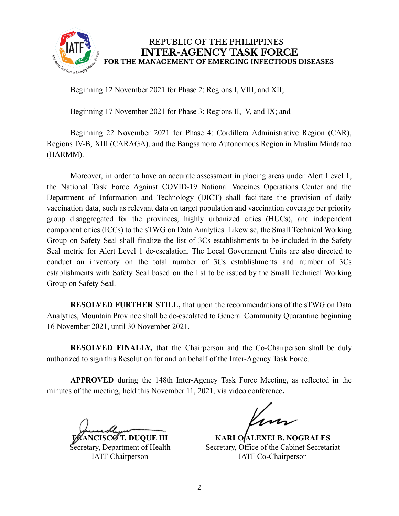

REPUBLIC OF THE PHILIPPINES **INTER-AGENCY TASK FORCE** FOR THE MANAGEMENT OF EMERGING INFECTIOUS DISEASES

Beginning 12 November 2021 for Phase 2: Regions I, VIII, and XII;

Beginning 17 November 2021 for Phase 3: Regions II, V, and IX; and

Beginning 22 November 2021 for Phase 4: Cordillera Administrative Region (CAR), Regions IV-B, XIII (CARAGA), and the Bangsamoro Autonomous Region in Muslim Mindanao (BARMM).

Moreover, in order to have an accurate assessment in placing areas under Alert Level 1, the National Task Force Against COVID-19 National Vaccines Operations Center and the Department of Information and Technology (DICT) shall facilitate the provision of daily vaccination data, such as relevant data on target population and vaccination coverage per priority group disaggregated for the provinces, highly urbanized cities (HUCs), and independent component cities (ICCs) to the sTWG on Data Analytics. Likewise, the Small Technical Working Group on Safety Seal shall finalize the list of 3Cs establishments to be included in the Safety Seal metric for Alert Level 1 de-escalation. The Local Government Units are also directed to conduct an inventory on the total number of 3Cs establishments and number of 3Cs establishments with Safety Seal based on the list to be issued by the Small Technical Working Group on Safety Seal.

**RESOLVED FURTHER STILL,** that upon the recommendations of the sTWG on Data Analytics, Mountain Province shall be de-escalated to General Community Quarantine beginning 16 November 2021, until 30 November 2021.

**RESOLVED FINALLY,** that the Chairperson and the Co-Chairperson shall be duly authorized to sign this Resolution for and on behalf of the Inter-Agency Task Force.

**APPROVED** during the 148th Inter-Agency Task Force Meeting, as reflected in the minutes of the meeting, held this November 11, 2021, via video conference**.**

**FRANCISCO T. DUQUE III**

Secretary, Department of Health IATF Chairperson

**KARLO ALEXEI B. NOGRALES** Secretary, Office of the Cabinet Secretariat IATF Co-Chairperson